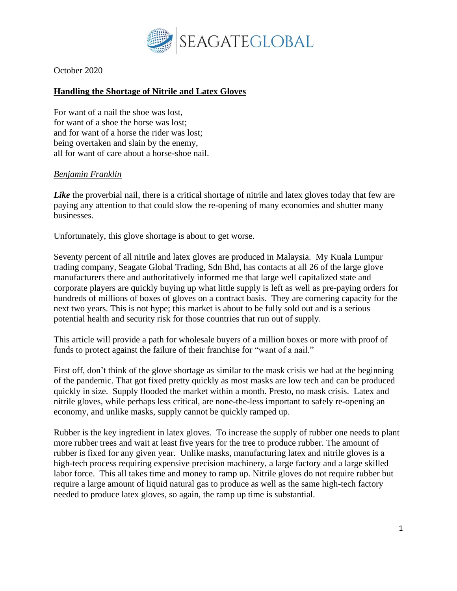

October 2020

## **Handling the Shortage of Nitrile and Latex Gloves**

For want of a nail the shoe was lost, for want of a shoe the horse was lost; and for want of a horse the rider was lost; being overtaken and slain by the enemy, all for want of care about a horse-shoe nail.

## *[Benjamin Franklin](https://en.wikipedia.org/wiki/Benjamin_Franklin)*

*Like* the proverbial nail, there is a critical shortage of nitrile and latex gloves today that few are paying any attention to that could slow the re-opening of many economies and shutter many businesses.

Unfortunately, this glove shortage is about to get worse.

Seventy percent of all nitrile and latex gloves are produced in Malaysia. My Kuala Lumpur trading company, Seagate Global Trading, Sdn Bhd, has contacts at all 26 of the large glove manufacturers there and authoritatively informed me that large well capitalized state and corporate players are quickly buying up what little supply is left as well as pre-paying orders for hundreds of millions of boxes of gloves on a contract basis. They are cornering capacity for the next two years. This is not hype; this market is about to be fully sold out and is a serious potential health and security risk for those countries that run out of supply.

This article will provide a path for wholesale buyers of a million boxes or more with proof of funds to protect against the failure of their franchise for "want of a nail."

First off, don't think of the glove shortage as similar to the mask crisis we had at the beginning of the pandemic. That got fixed pretty quickly as most masks are low tech and can be produced quickly in size. Supply flooded the market within a month. Presto, no mask crisis. Latex and nitrile gloves, while perhaps less critical, are none-the-less important to safely re-opening an economy, and unlike masks, supply cannot be quickly ramped up.

Rubber is the key ingredient in latex gloves. To increase the supply of rubber one needs to plant more rubber trees and wait at least five years for the tree to produce rubber. The amount of rubber is fixed for any given year. Unlike masks, manufacturing latex and nitrile gloves is a high-tech process requiring expensive precision machinery, a large factory and a large skilled labor force. This all takes time and money to ramp up. Nitrile gloves do not require rubber but require a large amount of liquid natural gas to produce as well as the same high-tech factory needed to produce latex gloves, so again, the ramp up time is substantial.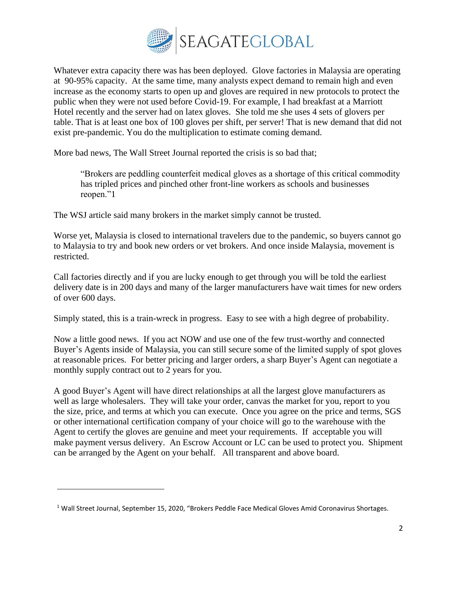

Whatever extra capacity there was has been deployed. Glove factories in Malaysia are operating at 90-95% capacity. At the same time, many analysts expect demand to remain high and even increase as the economy starts to open up and gloves are required in new protocols to protect the public when they were not used before Covid-19. For example, I had breakfast at a Marriott Hotel recently and the server had on latex gloves. She told me she uses 4 sets of glovers per table. That is at least one box of 100 gloves per shift, per server! That is new demand that did not exist pre-pandemic. You do the multiplication to estimate coming demand.

More bad news, The Wall Street Journal reported the crisis is so bad that;

"Brokers are peddling counterfeit medical gloves as a shortage of this critical commodity has tripled prices and pinched other front-line workers as schools and businesses reopen."1

The WSJ article said many brokers in the market simply cannot be trusted.

Worse yet, Malaysia is closed to international travelers due to the pandemic, so buyers cannot go to Malaysia to try and book new orders or vet brokers. And once inside Malaysia, movement is restricted.

Call factories directly and if you are lucky enough to get through you will be told the earliest delivery date is in 200 days and many of the larger manufacturers have wait times for new orders of over 600 days.

Simply stated, this is a train-wreck in progress. Easy to see with a high degree of probability.

Now a little good news. If you act NOW and use one of the few trust-worthy and connected Buyer's Agents inside of Malaysia, you can still secure some of the limited supply of spot gloves at reasonable prices. For better pricing and larger orders, a sharp Buyer's Agent can negotiate a monthly supply contract out to 2 years for you.

A good Buyer's Agent will have direct relationships at all the largest glove manufacturers as well as large wholesalers. They will take your order, canvas the market for you, report to you the size, price, and terms at which you can execute. Once you agree on the price and terms, SGS or other international certification company of your choice will go to the warehouse with the Agent to certify the gloves are genuine and meet your requirements. If acceptable you will make payment versus delivery. An Escrow Account or LC can be used to protect you. Shipment can be arranged by the Agent on your behalf. All transparent and above board.

<sup>&</sup>lt;sup>1</sup> Wall Street Journal, September 15, 2020, "Brokers Peddle Face Medical Gloves Amid Coronavirus Shortages.